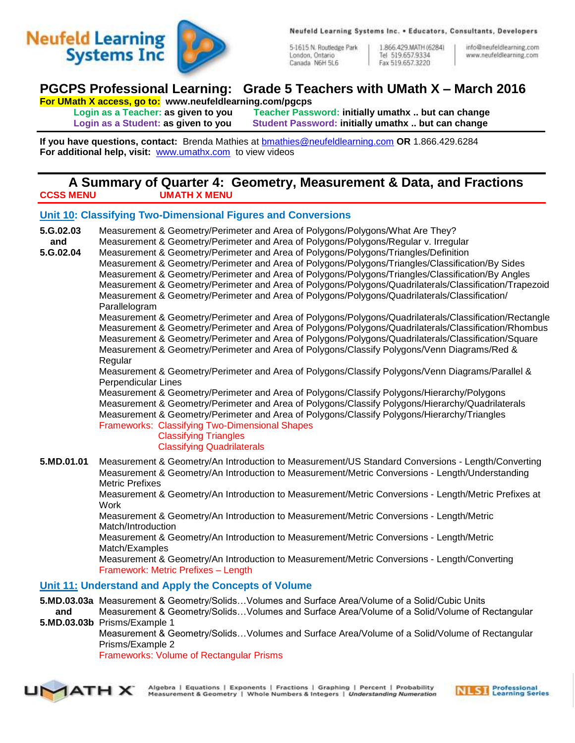



5-1615 N. Routledge Park London, Ontario Canada N6H 5L6

1.866.429.MATH (6284) Tel 519.657.9334 Fax 519.657.3220

info@neufeldlearning.com www.neufeldlearning.com

## **PGCPS Professional Learning: Grade 5 Teachers with UMath X – March 2016**

**For UMath X access, go to: www.neufeldlearning.com/pgcps**

**Login as a Teacher: as given to you Teacher Password: initially umathx .. but can change Login as a Student: as given to you Student Password: initially umathx .. but can change**

**If you have questions, contact:** Brenda Mathies at [bmathies@neufeldlearning.com](mailto:bmathies@neufeldlearning.com) **OR** 1.866.429.6284 **For additional help, visit:** [www.umathx.com](http://www.umathx.com/) to view videos

## **A Summary of Quarter 4: Geometry, Measurement & Data, and Fractions CCSS MENU UMATH X MENU**

## **Unit 10: Classifying Two-Dimensional Figures and Conversions**

**5.G.02.03** Measurement & Geometry/Perimeter and Area of Polygons/Polygons/What Are They? **and** Measurement & Geometry/Perimeter and Area of Polygons/Polygons/Regular v. Irregular **5.G.02.04** Measurement & Geometry/Perimeter and Area of Polygons/Polygons/Triangles/Definition Measurement & Geometry/Perimeter and Area of Polygons/Polygons/Triangles/Classification/By Sides Measurement & Geometry/Perimeter and Area of Polygons/Polygons/Triangles/Classification/By Angles Measurement & Geometry/Perimeter and Area of Polygons/Polygons/Quadrilaterals/Classification/Trapezoid Measurement & Geometry/Perimeter and Area of Polygons/Polygons/Quadrilaterals/Classification/ **Parallelogram** Measurement & Geometry/Perimeter and Area of Polygons/Polygons/Quadrilaterals/Classification/Rectangle Measurement & Geometry/Perimeter and Area of Polygons/Polygons/Quadrilaterals/Classification/Rhombus Measurement & Geometry/Perimeter and Area of Polygons/Polygons/Quadrilaterals/Classification/Square Measurement & Geometry/Perimeter and Area of Polygons/Classify Polygons/Venn Diagrams/Red & Regular Measurement & Geometry/Perimeter and Area of Polygons/Classify Polygons/Venn Diagrams/Parallel & Perpendicular Lines Measurement & Geometry/Perimeter and Area of Polygons/Classify Polygons/Hierarchy/Polygons Measurement & Geometry/Perimeter and Area of Polygons/Classify Polygons/Hierarchy/Quadrilaterals Measurement & Geometry/Perimeter and Area of Polygons/Classify Polygons/Hierarchy/Triangles Frameworks: Classifying Two-Dimensional Shapes Classifying Triangles Classifying Quadrilaterals **5.MD.01.01** Measurement & Geometry/An Introduction to Measurement/US Standard Conversions - Length/Converting Measurement & Geometry/An Introduction to Measurement/Metric Conversions - Length/Understanding Metric Prefixes Measurement & Geometry/An Introduction to Measurement/Metric Conversions - Length/Metric Prefixes at **Work** Measurement & Geometry/An Introduction to Measurement/Metric Conversions - Length/Metric Match/Introduction Measurement & Geometry/An Introduction to Measurement/Metric Conversions - Length/Metric Match/Examples Measurement & Geometry/An Introduction to Measurement/Metric Conversions - Length/Converting Framework: Metric Prefixes – Length **Unit 11: Understand and Apply the Concepts of Volume 5.MD.03.03a** Measurement & Geometry/Solids…Volumes and Surface Area/Volume of a Solid/Cubic Units **and** Measurement & Geometry/Solids…Volumes and Surface Area/Volume of a Solid/Volume of Rectangular **5.MD.03.03b** Prisms/Example 1

Measurement & Geometry/Solids…Volumes and Surface Area/Volume of a Solid/Volume of Rectangular Prisms/Example 2

Frameworks: Volume of Rectangular Prisms



Algebra | Equations | Exponents | Fractions | Graphing | Percent | Probability Measurement & Geometry | Whole Numbers & Integers | Understanding Numeration